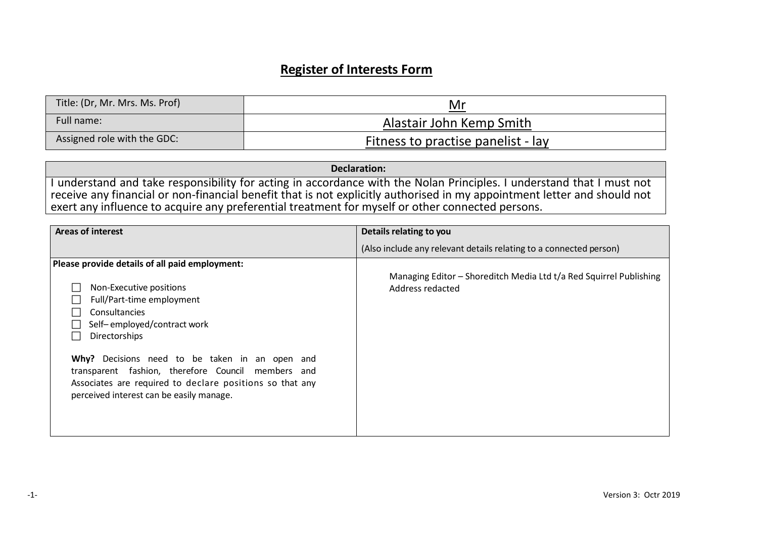# **Register of Interests Form**

| Title: (Dr, Mr. Mrs. Ms. Prof) | Mr                                 |
|--------------------------------|------------------------------------|
| Full name:                     | Alastair John Kemp Smith           |
| Assigned role with the GDC:    | Fitness to practise panelist - lay |

**Declaration:**  I understand and take responsibility for acting in accordance with the Nolan Principles. I understand that I must not receive any financial or non-financial benefit that is not explicitly authorised in my appointment letter and should not exert any influence to acquire any preferential treatment for myself or other connected persons.

| <b>Areas of interest</b>                                                                                                                                                                                                                                                                                                                                                                | Details relating to you                                                                |
|-----------------------------------------------------------------------------------------------------------------------------------------------------------------------------------------------------------------------------------------------------------------------------------------------------------------------------------------------------------------------------------------|----------------------------------------------------------------------------------------|
|                                                                                                                                                                                                                                                                                                                                                                                         | (Also include any relevant details relating to a connected person)                     |
| Please provide details of all paid employment:<br>Non-Executive positions<br>Full/Part-time employment<br>Consultancies<br>Self-employed/contract work<br>Directorships<br>Why? Decisions need to be taken in an open and<br>transparent fashion, therefore Council members and<br>Associates are required to declare positions so that any<br>perceived interest can be easily manage. | Managing Editor – Shoreditch Media Ltd t/a Red Squirrel Publishing<br>Address redacted |
|                                                                                                                                                                                                                                                                                                                                                                                         |                                                                                        |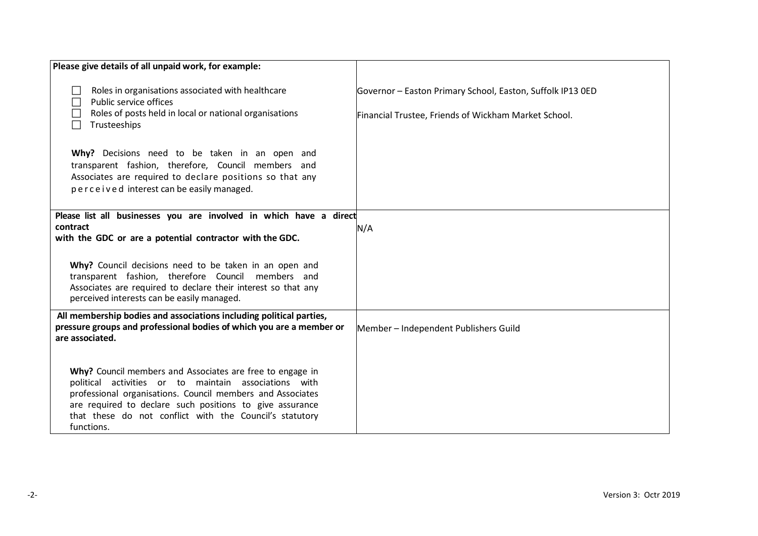| Please give details of all unpaid work, for example:                                                                                                                                                                                                                                                                  |                                                                                                                    |
|-----------------------------------------------------------------------------------------------------------------------------------------------------------------------------------------------------------------------------------------------------------------------------------------------------------------------|--------------------------------------------------------------------------------------------------------------------|
| Roles in organisations associated with healthcare<br>Public service offices<br>Roles of posts held in local or national organisations<br>Trusteeships<br>$\Box$                                                                                                                                                       | Governor - Easton Primary School, Easton, Suffolk IP13 OED<br>Financial Trustee, Friends of Wickham Market School. |
| Why? Decisions need to be taken in an open and<br>transparent fashion, therefore, Council members and<br>Associates are required to declare positions so that any<br>perceived interest can be easily managed.                                                                                                        |                                                                                                                    |
| Please list all businesses you are involved in which have a direct<br>contract<br>with the GDC or are a potential contractor with the GDC.                                                                                                                                                                            | N/A                                                                                                                |
| Why? Council decisions need to be taken in an open and<br>transparent fashion, therefore Council members and<br>Associates are required to declare their interest so that any<br>perceived interests can be easily managed.                                                                                           |                                                                                                                    |
| All membership bodies and associations including political parties,<br>pressure groups and professional bodies of which you are a member or<br>are associated.                                                                                                                                                        | Member - Independent Publishers Guild                                                                              |
| Why? Council members and Associates are free to engage in<br>political activities or to maintain associations with<br>professional organisations. Council members and Associates<br>are required to declare such positions to give assurance<br>that these do not conflict with the Council's statutory<br>functions. |                                                                                                                    |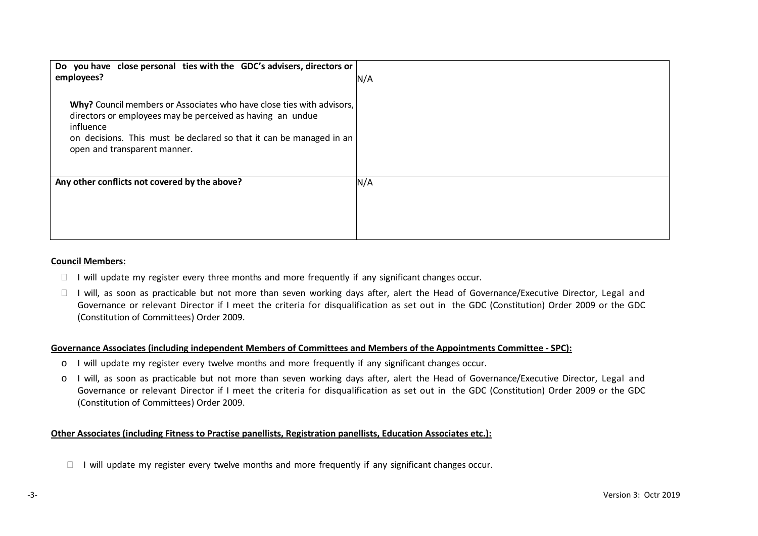| Do you have close personal ties with the GDC's advisers, directors or<br>employees?                                                                                                                                                                     | N/A |
|---------------------------------------------------------------------------------------------------------------------------------------------------------------------------------------------------------------------------------------------------------|-----|
| Why? Council members or Associates who have close ties with advisors,<br>directors or employees may be perceived as having an undue<br>influence<br>on decisions. This must be declared so that it can be managed in an<br>open and transparent manner. |     |
| Any other conflicts not covered by the above?                                                                                                                                                                                                           | N/A |

#### **Council Members:**

- $\Box$  I will update my register every three months and more frequently if any significant changes occur.
- $\Box$  I will, as soon as practicable but not more than seven working days after, alert the Head of Governance/Executive Director, Legal and Governance or relevant Director if I meet the criteria for disqualification as set out in the GDC (Constitution) Order 2009 or the GDC (Constitution of Committees) Order 2009.

### **Governance Associates (including independent Members of Committees and Members of the Appointments Committee - SPC):**

- o I will update my register every twelve months and more frequently if any significant changes occur.
- o I will, as soon as practicable but not more than seven working days after, alert the Head of Governance/Executive Director, Legal and Governance or relevant Director if I meet the criteria for disqualification as set out in the GDC (Constitution) Order 2009 or the GDC (Constitution of Committees) Order 2009.

## **Other Associates (including Fitness to Practise panellists, Registration panellists, Education Associates etc.):**

 $\Box$  I will update my register every twelve months and more frequently if any significant changes occur.